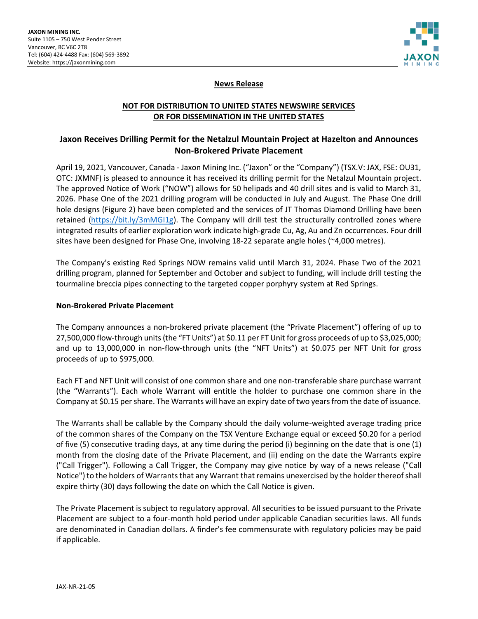

## **News Release**

## **NOT FOR DISTRIBUTION TO UNITED STATES NEWSWIRE SERVICES OR FOR DISSEMINATION IN THE UNITED STATES**

# **Jaxon Receives Drilling Permit for the Netalzul Mountain Project at Hazelton and Announces Non-Brokered Private Placement**

April 19, 2021, Vancouver, Canada - Jaxon Mining Inc. ("Jaxon" or the "Company") (TSX.V: JAX, FSE: OU31, OTC: JXMNF) is pleased to announce it has received its drilling permit for the Netalzul Mountain project. The approved Notice of Work ("NOW") allows for 50 helipads and 40 drill sites and is valid to March 31, 2026. Phase One of the 2021 drilling program will be conducted in July and August. The Phase One drill hole designs (Figure 2) have been completed and the services of JT Thomas Diamond Drilling have been retained [\(https://bit.ly/3mMGI1g\)](https://bit.ly/3mMGI1g). The Company will drill test the structurally controlled zones where integrated results of earlier exploration work indicate high-grade Cu, Ag, Au and Zn occurrences. Four drill sites have been designed for Phase One, involving 18-22 separate angle holes (~4,000 metres).

The Company's existing Red Springs NOW remains valid until March 31, 2024. Phase Two of the 2021 drilling program, planned for September and October and subject to funding, will include drill testing the tourmaline breccia pipes connecting to the targeted copper porphyry system at Red Springs.

### **Non-Brokered Private Placement**

The Company announces a non-brokered private placement (the "Private Placement") offering of up to 27,500,000 flow-through units (the "FT Units") at \$0.11 per FT Unit for gross proceeds of up to \$3,025,000; and up to 13,000,000 in non-flow-through units (the "NFT Units") at \$0.075 per NFT Unit for gross proceeds of up to \$975,000.

Each FT and NFT Unit will consist of one common share and one non-transferable share purchase warrant (the "Warrants"). Each whole Warrant will entitle the holder to purchase one common share in the Company at \$0.15 per share. The Warrants will have an expiry date of two years from the date of issuance.

The Warrants shall be callable by the Company should the daily volume-weighted average trading price of the common shares of the Company on the TSX Venture Exchange equal or exceed \$0.20 for a period of five (5) consecutive trading days, at any time during the period (i) beginning on the date that is one (1) month from the closing date of the Private Placement, and (ii) ending on the date the Warrants expire ("Call Trigger"). Following a Call Trigger, the Company may give notice by way of a news release ("Call Notice") to the holders of Warrants that any Warrant that remains unexercised by the holder thereof shall expire thirty (30) days following the date on which the Call Notice is given.

The Private Placement is subject to regulatory approval. All securities to be issued pursuant to the Private Placement are subject to a four-month hold period under applicable Canadian securities laws. All funds are denominated in Canadian dollars. A finder's fee commensurate with regulatory policies may be paid if applicable.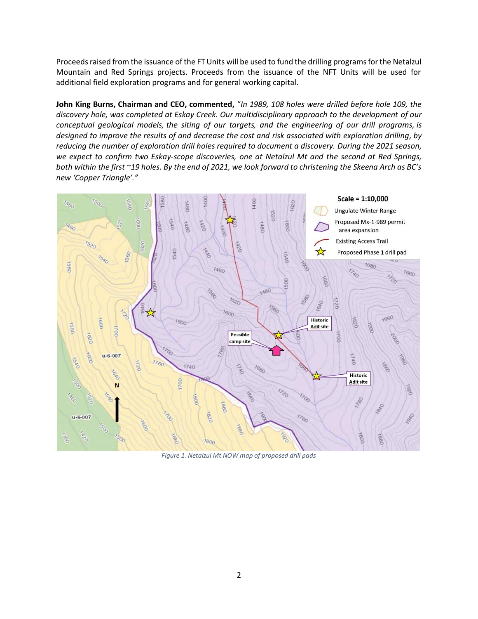Proceeds raised from the issuance of the FT Units will be used to fund the drilling programs for the Netalzul Mountain and Red Springs projects. Proceeds from the issuance of the NFT Units will be used for additional field exploration programs and for general working capital.

**John King Burns, Chairman and CEO, commented,** "*In 1989, 108 holes were drilled before hole 109, the discovery hole, was completed at Eskay Creek. Our multidisciplinary approach to the development of our conceptual geological models, the siting of our targets, and the engineering of our drill programs, is designed to improve the results of and decrease the cost and risk associated with exploration drilling, by reducing the number of exploration drill holes required to document a discovery. During the 2021 season, we expect to confirm two Eskay-scope discoveries, one at Netalzul Mt and the second at Red Springs, both within the first ~19 holes. By the end of 2021, we look forward to christening the Skeena Arch as BC's new 'Copper Triangle'."*



*Figure 1. Netalzul Mt NOW map of proposed drill pads*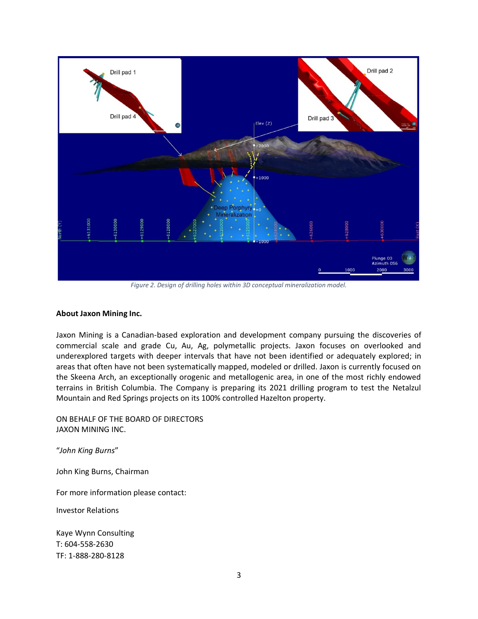

*Figure 2. Design of drilling holes within 3D conceptual mineralization model.*

#### **About Jaxon Mining Inc.**

Jaxon Mining is a Canadian-based exploration and development company pursuing the discoveries of commercial scale and grade Cu, Au, Ag, polymetallic projects. Jaxon focuses on overlooked and underexplored targets with deeper intervals that have not been identified or adequately explored; in areas that often have not been systematically mapped, modeled or drilled. Jaxon is currently focused on the Skeena Arch, an exceptionally orogenic and metallogenic area, in one of the most richly endowed terrains in British Columbia. The Company is preparing its 2021 drilling program to test the Netalzul Mountain and Red Springs projects on its 100% controlled Hazelton property.

ON BEHALF OF THE BOARD OF DIRECTORS JAXON MINING INC.

"*John King Burns*"

John King Burns, Chairman

For more information please contact:

Investor Relations

Kaye Wynn Consulting T: 604-558-2630 TF: 1-888-280-8128